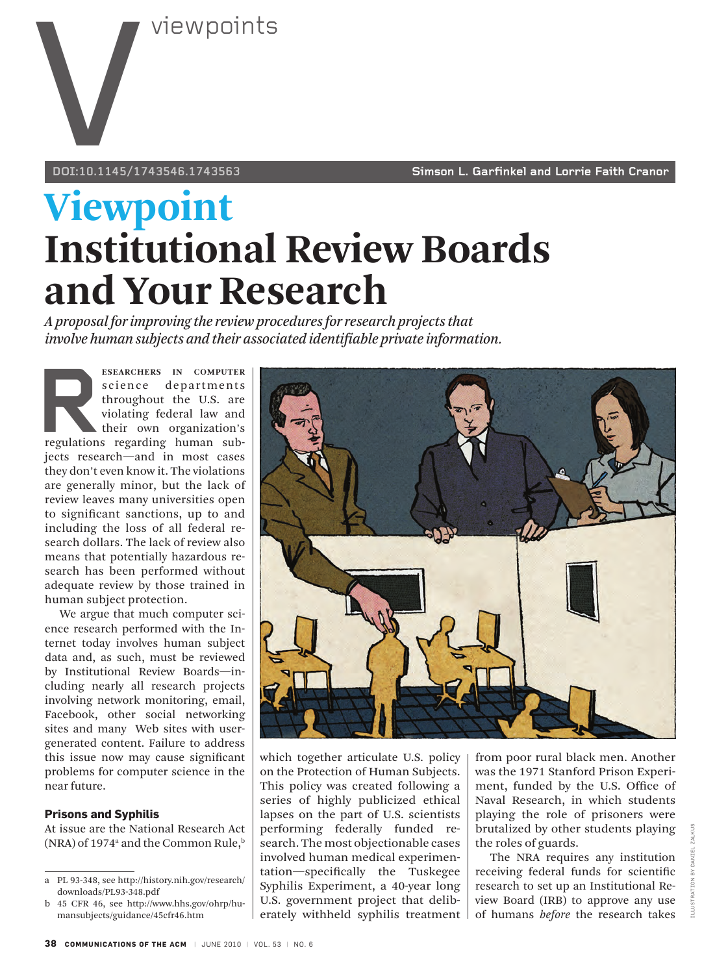

**doi:10.1145/1743546.1743563 Simson L. Garfinkel and Lorrie Faith Cranor**

## **Viewpoint Institutional Review Boards and Your Research**

*A proposal for improving the review procedures for research projects that involve human subjects and their associated identifiable private information.*

**REARCHERS IN COMPUTER**<br>
science departments<br>
throughout the U.S. are<br>
violating federal law and<br>
their own organization's<br>
regulations regarding human sub-<br>
iosts research and in most cases science departments throughout the U.S. are violating federal law and their own organization's jects research—and in most cases they don't even know it. The violations are generally minor, but the lack of review leaves many universities open to significant sanctions, up to and including the loss of all federal research dollars. The lack of review also means that potentially hazardous research has been performed without adequate review by those trained in human subject protection.

We argue that much computer science research performed with the Internet today involves human subject data and, as such, must be reviewed by Institutional Review Boards—including nearly all research projects involving network monitoring, email, Facebook, other social networking sites and many Web sites with usergenerated content. Failure to address this issue now may cause significant problems for computer science in the near future.

## **Prisons and Syphilis**

At issue are the National Research Act (NRA) of 1974ª and the Common Rule, $^{\rm b}$ 



which together articulate U.S. policy on the Protection of Human Subjects. This policy was created following a series of highly publicized ethical lapses on the part of U.S. scientists performing federally funded research. The most objectionable cases involved human medical experimentation—specifically the Tuskegee Syphilis Experiment, a 40-year long U.S. government project that deliberately withheld syphilis treatment from poor rural black men. Another was the 1971 Stanford Prison Experiment, funded by the U.S. Office of Naval Research, in which students playing the role of prisoners were brutalized by other students playing the roles of guards.

The NRA requires any institution receiving federal funds for scientific research to set up an Institutional Review Board (IRB) to approve any use of humans *before* the research takes

a PL 93-348, see http://history.nih.gov/research/ downloads/PL93-348.pdf

b 45 CFR 46, see http://www.hhs.gov/ohrp/humansubjects/guidance/45cfr46.htm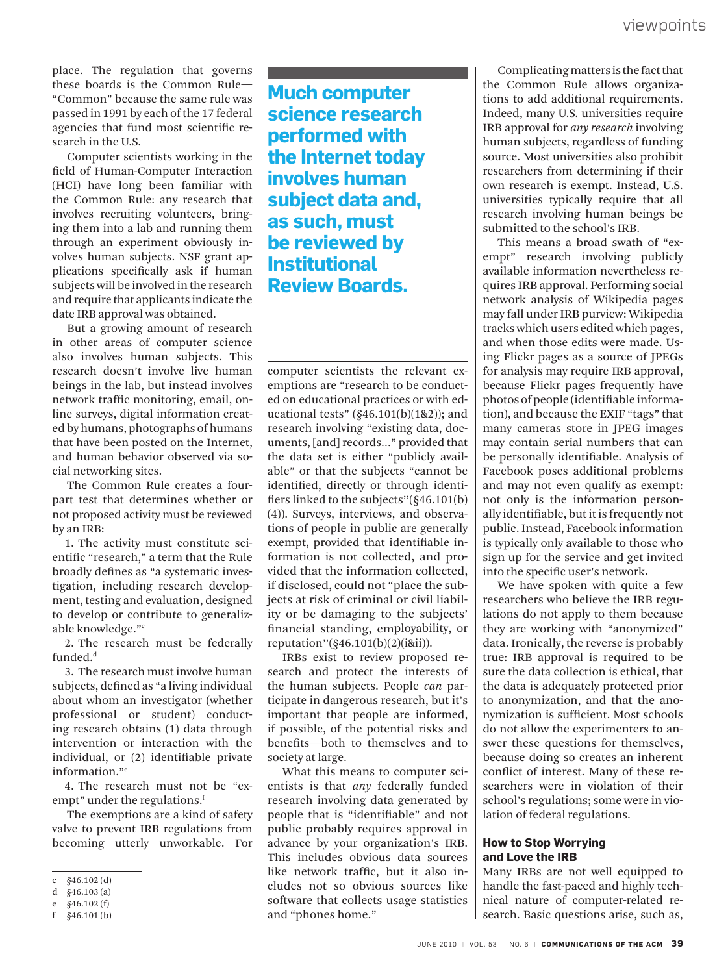place. The regulation that governs these boards is the Common Rule— "Common" because the same rule was passed in 1991 by each of the 17 federal agencies that fund most scientific research in the U.S.

Computer scientists working in the field of Human-Computer Interaction (HCI) have long been familiar with the Common Rule: any research that involves recruiting volunteers, bringing them into a lab and running them through an experiment obviously involves human subjects. NSF grant applications specifically ask if human subjects will be involved in the research and require that applicants indicate the date IRB approval was obtained.

But a growing amount of research in other areas of computer science also involves human subjects. This research doesn't involve live human beings in the lab, but instead involves network traffic monitoring, email, online surveys, digital information created by humans, photographs of humans that have been posted on the Internet, and human behavior observed via social networking sites.

The Common Rule creates a fourpart test that determines whether or not proposed activity must be reviewed by an IRB:

1. The activity must constitute scientific "research," a term that the Rule broadly defines as "a systematic investigation, including research development, testing and evaluation, designed to develop or contribute to generalizable knowledge."c

2. The research must be federally funded.d

3. The research must involve human subjects, defined as "a living individual about whom an investigator (whether professional or student) conducting research obtains (1) data through intervention or interaction with the individual, or (2) identifiable private information."e

4. The research must not be "exempt" under the regulations.<sup>f</sup>

The exemptions are a kind of safety valve to prevent IRB regulations from becoming utterly unworkable. For

**Much computer science research performed with the Internet today involves human subject data and, as such, must be reviewed by Institutional Review Boards.**

computer scientists the relevant exemptions are "research to be conducted on educational practices or with educational tests" (§46.101(b)(1&2)); and research involving "existing data, documents, [and] records…" provided that the data set is either "publicly available" or that the subjects "cannot be identified, directly or through identifiers linked to the subjects''(§46.101(b) (4)). Surveys, interviews, and observations of people in public are generally exempt, provided that identifiable information is not collected, and provided that the information collected, if disclosed, could not "place the subjects at risk of criminal or civil liability or be damaging to the subjects' financial standing, employability, or reputation''(§46.101(b)(2)(i&ii)).

IRBs exist to review proposed research and protect the interests of the human subjects. People *can* participate in dangerous research, but it's important that people are informed, if possible, of the potential risks and benefits—both to themselves and to society at large.

What this means to computer scientists is that *any* federally funded research involving data generated by people that is "identifiable" and not public probably requires approval in advance by your organization's IRB. This includes obvious data sources like network traffic, but it also includes not so obvious sources like software that collects usage statistics and "phones home."

Viewpoints<br>
these boards is the Common Rule—<br>
"Common" because the same rule was<br>
month of the 17 federal<br>
agencies that fund most scientific re-<br>
search in the U.S.<br>
Science research<br>
agencies that fund most scientific re Complicating matters is the fact that the Common Rule allows organizations to add additional requirements. Indeed, many U.S. universities require IRB approval for *any research* involving human subjects, regardless of funding source. Most universities also prohibit researchers from determining if their own research is exempt. Instead, U.S. universities typically require that all research involving human beings be submitted to the school's IRB.

> This means a broad swath of "exempt" research involving publicly available information nevertheless requires IRB approval. Performing social network analysis of Wikipedia pages may fall under IRB purview: Wikipedia tracks which users edited which pages, and when those edits were made. Using Flickr pages as a source of JPEGs for analysis may require IRB approval, because Flickr pages frequently have photos of people (identifiable information), and because the EXIF "tags" that many cameras store in JPEG images may contain serial numbers that can be personally identifiable. Analysis of Facebook poses additional problems and may not even qualify as exempt: not only is the information personally identifiable, but it is frequently not public. Instead, Facebook information is typically only available to those who sign up for the service and get invited into the specific user's network.

> We have spoken with quite a few researchers who believe the IRB regulations do not apply to them because they are working with "anonymized" data. Ironically, the reverse is probably true: IRB approval is required to be sure the data collection is ethical, that the data is adequately protected prior to anonymization, and that the anonymization is sufficient. Most schools do not allow the experimenters to answer these questions for themselves, because doing so creates an inherent conflict of interest. Many of these researchers were in violation of their school's regulations; some were in violation of federal regulations.

## **How to Stop Worrying and Love the IRB**

Many IRBs are not well equipped to handle the fast-paced and highly technical nature of computer-related research. Basic questions arise, such as,

c §46.102 (d)

d §46.103 (a)

e §46.102 (f)

f §46.101 (b)